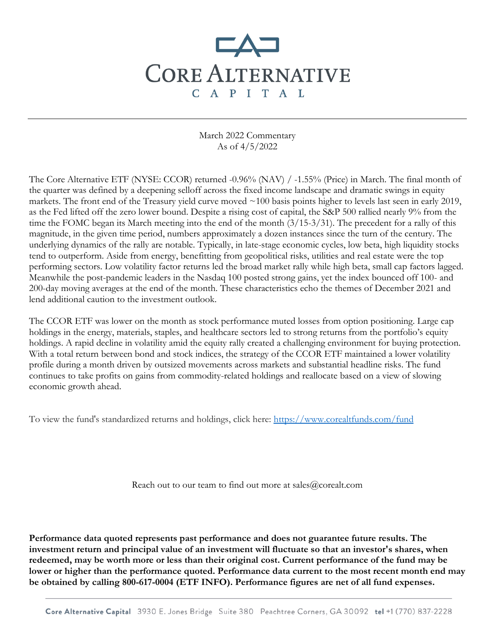## **CORE ALTERNATIVE** C A P I T A L

March 2022 Commentary As of 4/5/2022

The Core Alternative ETF (NYSE: CCOR) returned -0.96% (NAV) / -1.55% (Price) in March. The final month of the quarter was defined by a deepening selloff across the fixed income landscape and dramatic swings in equity markets. The front end of the Treasury yield curve moved ~100 basis points higher to levels last seen in early 2019, as the Fed lifted off the zero lower bound. Despite a rising cost of capital, the S&P 500 rallied nearly 9% from the time the FOMC began its March meeting into the end of the month (3/15-3/31). The precedent for a rally of this magnitude, in the given time period, numbers approximately a dozen instances since the turn of the century. The underlying dynamics of the rally are notable. Typically, in late-stage economic cycles, low beta, high liquidity stocks tend to outperform. Aside from energy, benefitting from geopolitical risks, utilities and real estate were the top performing sectors. Low volatility factor returns led the broad market rally while high beta, small cap factors lagged. Meanwhile the post-pandemic leaders in the Nasdaq 100 posted strong gains, yet the index bounced off 100- and 200-day moving averages at the end of the month. These characteristics echo the themes of December 2021 and lend additional caution to the investment outlook.

The CCOR ETF was lower on the month as stock performance muted losses from option positioning. Large cap holdings in the energy, materials, staples, and healthcare sectors led to strong returns from the portfolio's equity holdings. A rapid decline in volatility amid the equity rally created a challenging environment for buying protection. With a total return between bond and stock indices, the strategy of the CCOR ETF maintained a lower volatility profile during a month driven by outsized movements across markets and substantial headline risks. The fund continues to take profits on gains from commodity-related holdings and reallocate based on a view of slowing economic growth ahead.

To view the fund's standardized returns and holdings, click here:<https://www.corealtfunds.com/fund>

Reach out to our team to find out more at sales@corealt.com

**Performance data quoted represents past performance and does not guarantee future results. The investment return and principal value of an investment will fluctuate so that an investor's shares, when redeemed, may be worth more or less than their original cost. Current performance of the fund may be lower or higher than the performance quoted. Performance data current to the most recent month end may be obtained by calling 800-617-0004 (ETF INFO). Performance figures are net of all fund expenses.**